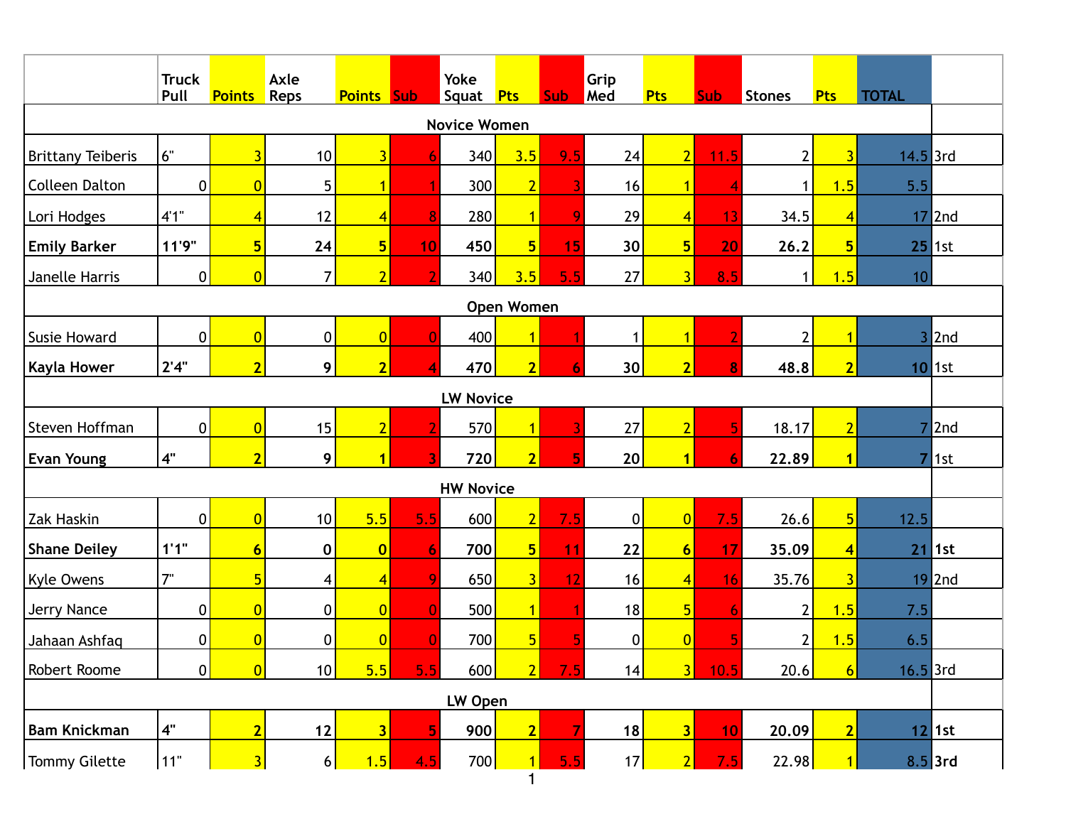|                          | <b>Truck</b><br>Pull | <b>Points</b>   | Axle<br>Reps     | <b>Points Sub</b>       |     | <b>Yoke</b><br>Squat Pts |                                | <b>Sub</b> | Grip<br>Med     | <b>Pts</b>              | <b>Sub</b> | Stones         | <b>Pts</b>              | <b>TOTAL</b>   |           |
|--------------------------|----------------------|-----------------|------------------|-------------------------|-----|--------------------------|--------------------------------|------------|-----------------|-------------------------|------------|----------------|-------------------------|----------------|-----------|
| <b>Novice Women</b>      |                      |                 |                  |                         |     |                          |                                |            |                 |                         |            |                |                         |                |           |
| <b>Brittany Teiberis</b> | 6"                   | $\overline{3}$  | 10               | $\overline{3}$          | 6   | 340                      | 3.5                            | 9.5        | 24              | $\overline{2}$          | 11.5       | $\overline{2}$ | $\overline{3}$          | $14.5$ 3rd     |           |
| <b>Colleen Dalton</b>    | $\overline{0}$       | $\overline{0}$  | 5                | $\overline{1}$          |     | 300                      | $\overline{2}$                 |            | 16              | $\overline{1}$          |            | 1              | 1.5                     | 5.5            |           |
| Lori Hodges              | 4'1''                | $\overline{4}$  | 12               | $\overline{4}$          | 8   | 280                      | $\overline{1}$                 | 9          | 29              | $\vert 4 \vert$         | 13         | 34.5           | $\overline{4}$          | 17             | 2nd       |
| <b>Emily Barker</b>      | 11'9"                | $5\phantom{a}$  | 24               | 5 <sub>l</sub>          | 10  | 450                      | 5 <sub>l</sub>                 | 15         | 30 <sup>°</sup> | $5\overline{)}$         | 20         | 26.2           | $5\phantom{1}$          |                | $25$ 1st  |
| Janelle Harris           | $\pmb{0}$            | $\overline{0}$  | $\overline{7}$   | $\overline{2}$          |     | 340                      | 3.5                            | 5.5        | 27              | $\overline{3}$          | 8.5        | 1              | 1.5                     | 10             |           |
| <b>Open Women</b>        |                      |                 |                  |                         |     |                          |                                |            |                 |                         |            |                |                         |                |           |
| <b>Susie Howard</b>      | $\mathbf 0$          | $\overline{0}$  | $\boldsymbol{0}$ | $\overline{0}$          | 0   | 400                      | $\overline{1}$                 |            | 1               | $\overline{1}$          |            | $\overline{2}$ |                         | 3 <sup>1</sup> | 2nd       |
| <b>Kayla Hower</b>       | 2'4"                 | $\overline{2}$  | 9                | $\overline{2}$          | Δ   | 470                      | $\overline{2}$                 | 6          | 30              | $\overline{2}$          | 8          | 48.8           | $\overline{2}$          |                | $10$ 1st  |
|                          |                      |                 |                  |                         |     | <b>LW Novice</b>         |                                |            |                 |                         |            |                |                         |                |           |
| Steven Hoffman           | 0                    | $\overline{0}$  | 15               | $\overline{2}$          |     | 570                      | $\overline{1}$                 |            | 27              | $\overline{2}$          | 5          | 18.17          | $\overline{2}$          | 7              | 2nd       |
| <b>Evan Young</b>        | 4"                   | $\overline{2}$  | 9                | $\overline{1}$          |     | 720                      | $\overline{2}$                 | 5          | 20              | $\overline{1}$          | 6          | 22.89          | 1                       | $\overline{7}$ | 1st       |
|                          |                      |                 |                  |                         |     | <b>HW Novice</b>         |                                |            |                 |                         |            |                |                         |                |           |
| Zak Haskin               | $\pmb{0}$            | $\overline{0}$  | 10               | 5.5                     | 5.5 | 600                      | $\overline{2}$                 | 7.5        | $\pmb{0}$       | 0                       | 7.5        | 26.6           | $5\overline{)}$         | 12.5           |           |
| <b>Shane Deiley</b>      | 1'1''                | $6\phantom{1}6$ | 0                | $\overline{\mathbf{0}}$ | 6   | 700                      | 5 <sub>l</sub>                 | 11         | 22              | $6\phantom{a}$          | 17         | 35.09          | $\overline{\mathbf{4}}$ | 21             | 1st       |
| <b>Kyle Owens</b>        | 7"                   | 5               | 4                | $\overline{4}$          | 9   | 650                      | $\overline{3}$                 | 12         | 16              | $\vert 4 \vert$         | 16         | 35.76          | $\overline{\mathbf{3}}$ |                | $19$  2nd |
| Jerry Nance              | $\pmb{0}$            | $\overline{0}$  | $\boldsymbol{0}$ | $\overline{0}$          | C   | 500                      | $\overline{1}$                 |            | 18              | $5\overline{)}$         | 6          | $\overline{2}$ | 1.5                     | 7.5            |           |
| Jahaan Ashfaq            | 0                    | $\overline{0}$  | $\pmb{0}$        | $\overline{0}$          |     | 700                      | 5 <sub>l</sub>                 |            | $\pmb{0}$       | $\overline{0}$          |            | $\overline{2}$ | 1.5                     | 6.5            |           |
| Robert Roome             | 0                    | $\overline{0}$  | 10               | 5.5                     | 5.5 | 600                      | $\overline{2}$                 | 7.5        | 14              | 3                       | 10.5       | 20.6           | 6 <sup>1</sup>          | $16.5$ 3rd     |           |
| LW Open                  |                      |                 |                  |                         |     |                          |                                |            |                 |                         |            |                |                         |                |           |
| <b>Bam Knickman</b>      | $4"$                 | $\overline{2}$  | 12               | $\overline{\mathbf{3}}$ | 5   | 900                      | $\overline{2}$                 |            | 18              | $\overline{\mathbf{3}}$ | 10         | 20.09          | $\overline{2}$          |                | $12$ 1st  |
| <b>Tommy Gilette</b>     | 11"                  | 3               | $6\vert$         | 1.5                     | 4.5 | 700                      | $\overline{1}$<br>$\mathbf{1}$ | 5.5        | 17              | $\vert$ 2               | 7.5        | 22.98          |                         | $8.5$ 3rd      |           |